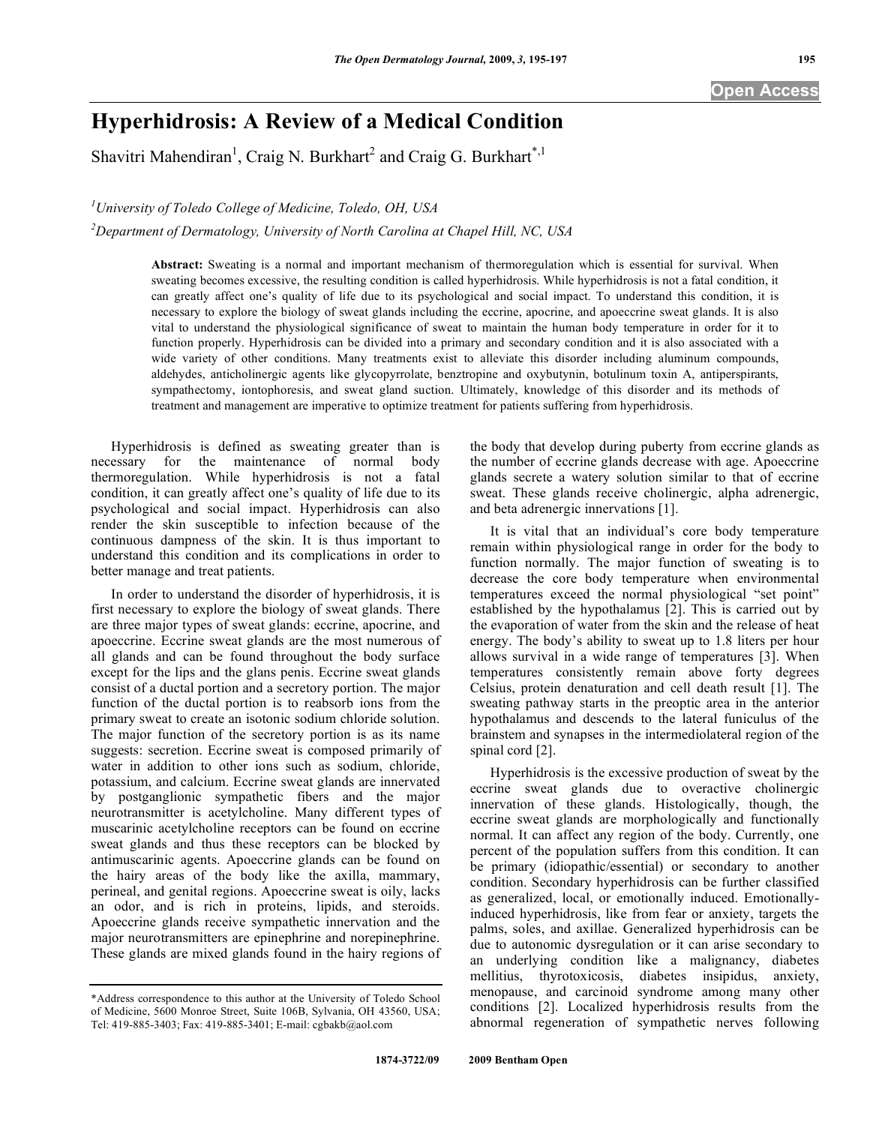## **Hyperhidrosis: A Review of a Medical Condition**

Shavitri Mahendiran<sup>1</sup>, Craig N. Burkhart<sup>2</sup> and Craig G. Burkhart<sup>\*,1</sup>

*1 University of Toledo College of Medicine, Toledo, OH, USA* 

*2 Department of Dermatology, University of North Carolina at Chapel Hill, NC, USA* 

**Abstract:** Sweating is a normal and important mechanism of thermoregulation which is essential for survival. When sweating becomes excessive, the resulting condition is called hyperhidrosis. While hyperhidrosis is not a fatal condition, it can greatly affect one's quality of life due to its psychological and social impact. To understand this condition, it is necessary to explore the biology of sweat glands including the eccrine, apocrine, and apoeccrine sweat glands. It is also vital to understand the physiological significance of sweat to maintain the human body temperature in order for it to function properly. Hyperhidrosis can be divided into a primary and secondary condition and it is also associated with a wide variety of other conditions. Many treatments exist to alleviate this disorder including aluminum compounds, aldehydes, anticholinergic agents like glycopyrrolate, benztropine and oxybutynin, botulinum toxin A, antiperspirants, sympathectomy, iontophoresis, and sweat gland suction. Ultimately, knowledge of this disorder and its methods of treatment and management are imperative to optimize treatment for patients suffering from hyperhidrosis.

 Hyperhidrosis is defined as sweating greater than is necessary for the maintenance of normal body thermoregulation. While hyperhidrosis is not a fatal condition, it can greatly affect one's quality of life due to its psychological and social impact. Hyperhidrosis can also render the skin susceptible to infection because of the continuous dampness of the skin. It is thus important to understand this condition and its complications in order to better manage and treat patients.

 In order to understand the disorder of hyperhidrosis, it is first necessary to explore the biology of sweat glands. There are three major types of sweat glands: eccrine, apocrine, and apoeccrine. Eccrine sweat glands are the most numerous of all glands and can be found throughout the body surface except for the lips and the glans penis. Eccrine sweat glands consist of a ductal portion and a secretory portion. The major function of the ductal portion is to reabsorb ions from the primary sweat to create an isotonic sodium chloride solution. The major function of the secretory portion is as its name suggests: secretion. Eccrine sweat is composed primarily of water in addition to other ions such as sodium, chloride, potassium, and calcium. Eccrine sweat glands are innervated by postganglionic sympathetic fibers and the major neurotransmitter is acetylcholine. Many different types of muscarinic acetylcholine receptors can be found on eccrine sweat glands and thus these receptors can be blocked by antimuscarinic agents. Apoeccrine glands can be found on the hairy areas of the body like the axilla, mammary, perineal, and genital regions. Apoeccrine sweat is oily, lacks an odor, and is rich in proteins, lipids, and steroids. Apoeccrine glands receive sympathetic innervation and the major neurotransmitters are epinephrine and norepinephrine. These glands are mixed glands found in the hairy regions of

\*Address correspondence to this author at the University of Toledo School of Medicine, 5600 Monroe Street, Suite 106B, Sylvania, OH 43560, USA; Tel: 419-885-3403; Fax: 419-885-3401; E-mail: cgbakb@aol.com

the body that develop during puberty from eccrine glands as the number of eccrine glands decrease with age. Apoeccrine glands secrete a watery solution similar to that of eccrine sweat. These glands receive cholinergic, alpha adrenergic, and beta adrenergic innervations [1].

 It is vital that an individual's core body temperature remain within physiological range in order for the body to function normally. The major function of sweating is to decrease the core body temperature when environmental temperatures exceed the normal physiological "set point" established by the hypothalamus [2]. This is carried out by the evaporation of water from the skin and the release of heat energy. The body's ability to sweat up to 1.8 liters per hour allows survival in a wide range of temperatures [3]. When temperatures consistently remain above forty degrees Celsius, protein denaturation and cell death result [1]. The sweating pathway starts in the preoptic area in the anterior hypothalamus and descends to the lateral funiculus of the brainstem and synapses in the intermediolateral region of the spinal cord [2].

 Hyperhidrosis is the excessive production of sweat by the eccrine sweat glands due to overactive cholinergic innervation of these glands. Histologically, though, the eccrine sweat glands are morphologically and functionally normal. It can affect any region of the body. Currently, one percent of the population suffers from this condition. It can be primary (idiopathic/essential) or secondary to another condition. Secondary hyperhidrosis can be further classified as generalized, local, or emotionally induced. Emotionallyinduced hyperhidrosis, like from fear or anxiety, targets the palms, soles, and axillae. Generalized hyperhidrosis can be due to autonomic dysregulation or it can arise secondary to an underlying condition like a malignancy, diabetes mellitius, thyrotoxicosis, diabetes insipidus, anxiety, menopause, and carcinoid syndrome among many other conditions [2]. Localized hyperhidrosis results from the abnormal regeneration of sympathetic nerves following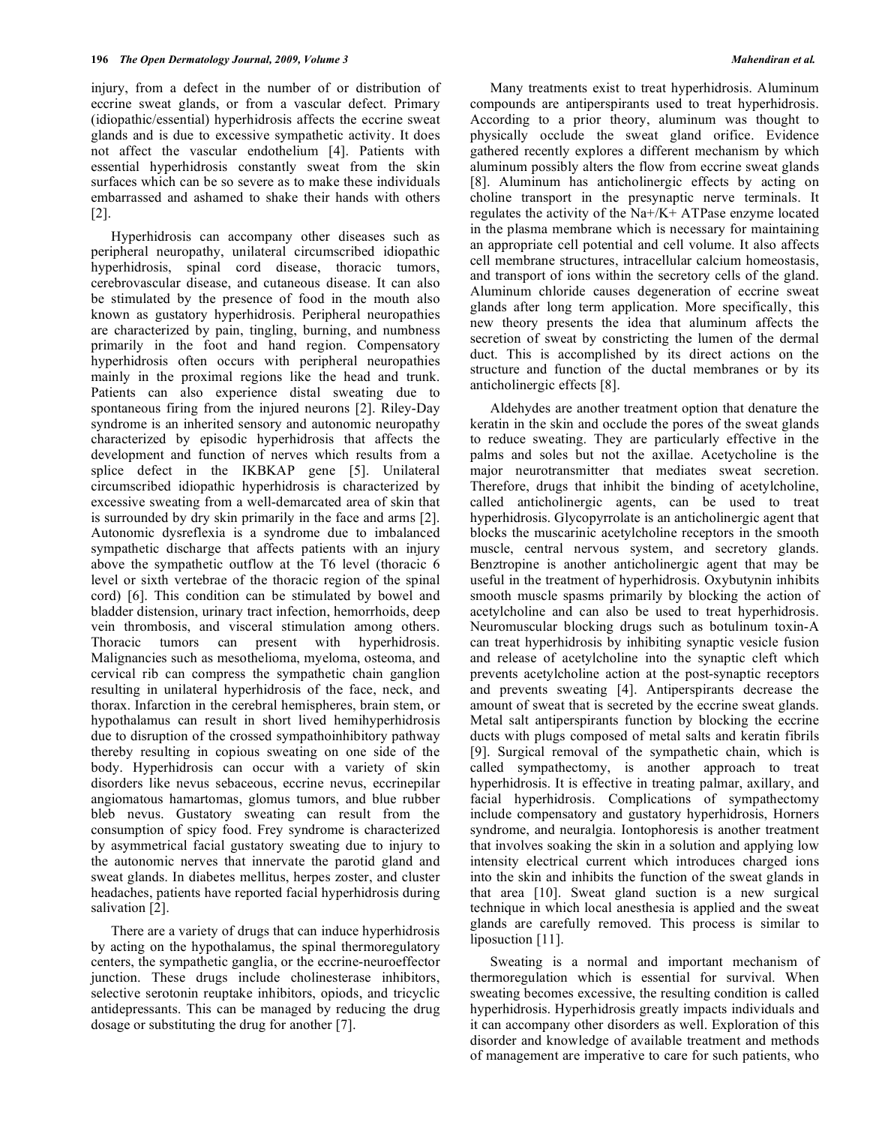injury, from a defect in the number of or distribution of eccrine sweat glands, or from a vascular defect. Primary (idiopathic/essential) hyperhidrosis affects the eccrine sweat glands and is due to excessive sympathetic activity. It does not affect the vascular endothelium [4]. Patients with essential hyperhidrosis constantly sweat from the skin surfaces which can be so severe as to make these individuals embarrassed and ashamed to shake their hands with others [2].

 Hyperhidrosis can accompany other diseases such as peripheral neuropathy, unilateral circumscribed idiopathic hyperhidrosis, spinal cord disease, thoracic tumors, cerebrovascular disease, and cutaneous disease. It can also be stimulated by the presence of food in the mouth also known as gustatory hyperhidrosis. Peripheral neuropathies are characterized by pain, tingling, burning, and numbness primarily in the foot and hand region. Compensatory hyperhidrosis often occurs with peripheral neuropathies mainly in the proximal regions like the head and trunk. Patients can also experience distal sweating due to spontaneous firing from the injured neurons [2]. Riley-Day syndrome is an inherited sensory and autonomic neuropathy characterized by episodic hyperhidrosis that affects the development and function of nerves which results from a splice defect in the IKBKAP gene [5]. Unilateral circumscribed idiopathic hyperhidrosis is characterized by excessive sweating from a well-demarcated area of skin that is surrounded by dry skin primarily in the face and arms [2]. Autonomic dysreflexia is a syndrome due to imbalanced sympathetic discharge that affects patients with an injury above the sympathetic outflow at the T6 level (thoracic 6 level or sixth vertebrae of the thoracic region of the spinal cord) [6]. This condition can be stimulated by bowel and bladder distension, urinary tract infection, hemorrhoids, deep vein thrombosis, and visceral stimulation among others. Thoracic tumors can present with hyperhidrosis. Malignancies such as mesothelioma, myeloma, osteoma, and cervical rib can compress the sympathetic chain ganglion resulting in unilateral hyperhidrosis of the face, neck, and thorax. Infarction in the cerebral hemispheres, brain stem, or hypothalamus can result in short lived hemihyperhidrosis due to disruption of the crossed sympathoinhibitory pathway thereby resulting in copious sweating on one side of the body. Hyperhidrosis can occur with a variety of skin disorders like nevus sebaceous, eccrine nevus, eccrinepilar angiomatous hamartomas, glomus tumors, and blue rubber bleb nevus. Gustatory sweating can result from the consumption of spicy food. Frey syndrome is characterized by asymmetrical facial gustatory sweating due to injury to the autonomic nerves that innervate the parotid gland and sweat glands. In diabetes mellitus, herpes zoster, and cluster headaches, patients have reported facial hyperhidrosis during salivation [2].

 There are a variety of drugs that can induce hyperhidrosis by acting on the hypothalamus, the spinal thermoregulatory centers, the sympathetic ganglia, or the eccrine-neuroeffector junction. These drugs include cholinesterase inhibitors, selective serotonin reuptake inhibitors, opiods, and tricyclic antidepressants. This can be managed by reducing the drug dosage or substituting the drug for another [7].

 Many treatments exist to treat hyperhidrosis. Aluminum compounds are antiperspirants used to treat hyperhidrosis. According to a prior theory, aluminum was thought to physically occlude the sweat gland orifice. Evidence gathered recently explores a different mechanism by which aluminum possibly alters the flow from eccrine sweat glands [8]. Aluminum has anticholinergic effects by acting on choline transport in the presynaptic nerve terminals. It regulates the activity of the Na+/K+ ATPase enzyme located in the plasma membrane which is necessary for maintaining an appropriate cell potential and cell volume. It also affects cell membrane structures, intracellular calcium homeostasis, and transport of ions within the secretory cells of the gland. Aluminum chloride causes degeneration of eccrine sweat glands after long term application. More specifically, this new theory presents the idea that aluminum affects the secretion of sweat by constricting the lumen of the dermal duct. This is accomplished by its direct actions on the structure and function of the ductal membranes or by its anticholinergic effects [8].

 Aldehydes are another treatment option that denature the keratin in the skin and occlude the pores of the sweat glands to reduce sweating. They are particularly effective in the palms and soles but not the axillae. Acetycholine is the major neurotransmitter that mediates sweat secretion. Therefore, drugs that inhibit the binding of acetylcholine, called anticholinergic agents, can be used to treat hyperhidrosis. Glycopyrrolate is an anticholinergic agent that blocks the muscarinic acetylcholine receptors in the smooth muscle, central nervous system, and secretory glands. Benztropine is another anticholinergic agent that may be useful in the treatment of hyperhidrosis. Oxybutynin inhibits smooth muscle spasms primarily by blocking the action of acetylcholine and can also be used to treat hyperhidrosis. Neuromuscular blocking drugs such as botulinum toxin-A can treat hyperhidrosis by inhibiting synaptic vesicle fusion and release of acetylcholine into the synaptic cleft which prevents acetylcholine action at the post-synaptic receptors and prevents sweating [4]. Antiperspirants decrease the amount of sweat that is secreted by the eccrine sweat glands. Metal salt antiperspirants function by blocking the eccrine ducts with plugs composed of metal salts and keratin fibrils [9]. Surgical removal of the sympathetic chain, which is called sympathectomy, is another approach to treat hyperhidrosis. It is effective in treating palmar, axillary, and facial hyperhidrosis. Complications of sympathectomy include compensatory and gustatory hyperhidrosis, Horners syndrome, and neuralgia. Iontophoresis is another treatment that involves soaking the skin in a solution and applying low intensity electrical current which introduces charged ions into the skin and inhibits the function of the sweat glands in that area [10]. Sweat gland suction is a new surgical technique in which local anesthesia is applied and the sweat glands are carefully removed. This process is similar to liposuction [11].

Sweating is a normal and important mechanism of thermoregulation which is essential for survival. When sweating becomes excessive, the resulting condition is called hyperhidrosis. Hyperhidrosis greatly impacts individuals and it can accompany other disorders as well. Exploration of this disorder and knowledge of available treatment and methods of management are imperative to care for such patients, who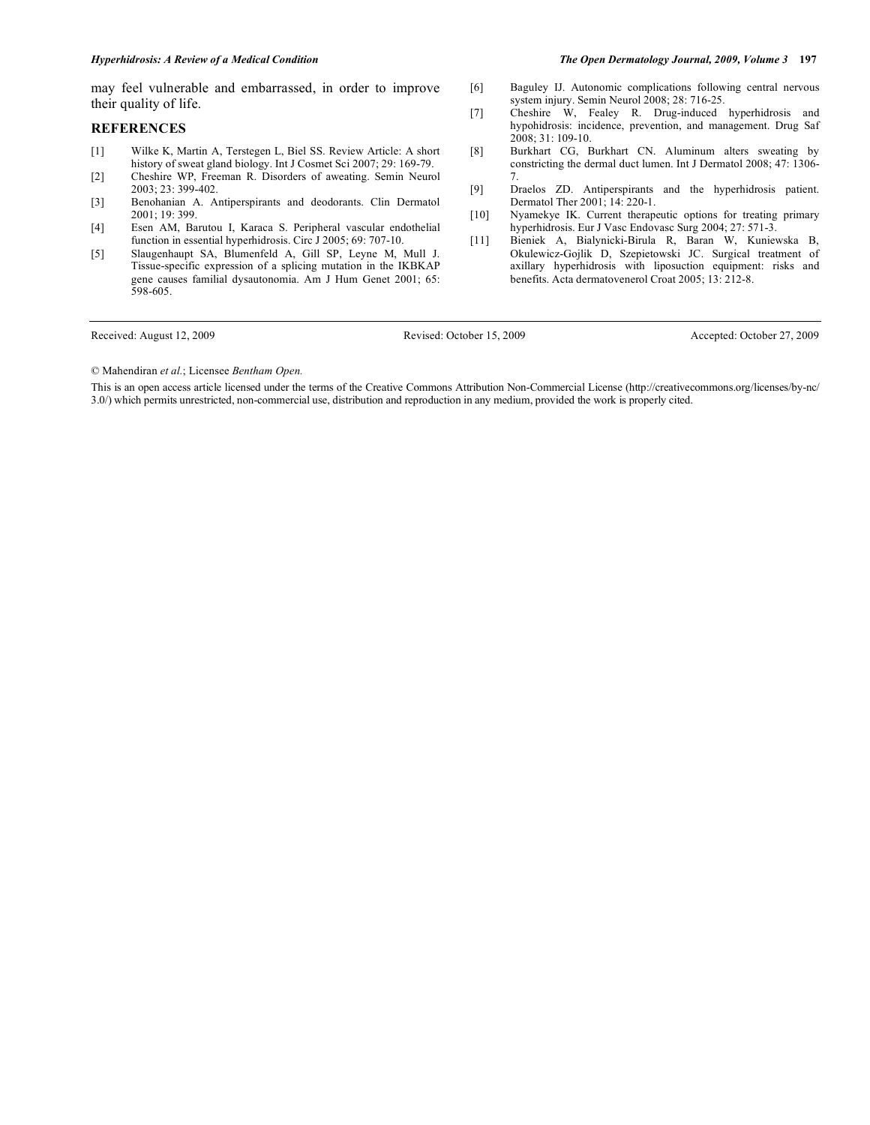## *Hyperhidrosis: A Review of a Medical Condition The Open Dermatology Journal, 2009, Volume 3* **197**

may feel vulnerable and embarrassed, in order to improve their quality of life.

## **REFERENCES**

- [1] Wilke K, Martin A, Terstegen L, Biel SS. Review Article: A short history of sweat gland biology. Int J Cosmet Sci 2007; 29: 169-79.
- [2] Cheshire WP, Freeman R. Disorders of aweating. Semin Neurol 2003; 23: 399-402.
- [3] Benohanian A. Antiperspirants and deodorants. Clin Dermatol 2001; 19: 399.
- [4] Esen AM, Barutou I, Karaca S. Peripheral vascular endothelial function in essential hyperhidrosis. Circ J 2005; 69: 707-10.
- [5] Slaugenhaupt SA, Blumenfeld A, Gill SP, Leyne M, Mull J. Tissue-specific expression of a splicing mutation in the IKBKAP gene causes familial dysautonomia. Am J Hum Genet 2001; 65: 598-605.

Received: August 12, 2009 Revised: October 15, 2009 Accepted: October 27, 2009

© Mahendiran *et al.*; Licensee *Bentham Open.*

This is an open access article licensed under the terms of the Creative Commons Attribution Non-Commercial License (http://creativecommons.org/licenses/by-nc/ 3.0/) which permits unrestricted, non-commercial use, distribution and reproduction in any medium, provided the work is properly cited.

[6] Baguley IJ. Autonomic complications following central nervous system injury. Semin Neurol 2008; 28: 716-25.

- [7] Cheshire W, Fealey R. Drug-induced hyperhidrosis and hypohidrosis: incidence, prevention, and management. Drug Saf 2008; 31: 109-10.
- [8] Burkhart CG, Burkhart CN. Aluminum alters sweating by constricting the dermal duct lumen. Int J Dermatol 2008; 47: 1306- 7.
- [9] Draelos ZD. Antiperspirants and the hyperhidrosis patient. Dermatol Ther 2001; 14: 220-1.
- [10] Nyamekye IK. Current therapeutic options for treating primary hyperhidrosis. Eur J Vasc Endovasc Surg 2004; 27: 571-3.
- [11] Bieniek A, Bialynicki-Birula R, Baran W, Kuniewska B, Okulewicz-Gojlik D, Szepietowski JC. Surgical treatment of axillary hyperhidrosis with liposuction equipment: risks and benefits. Acta dermatovenerol Croat 2005; 13: 212-8.